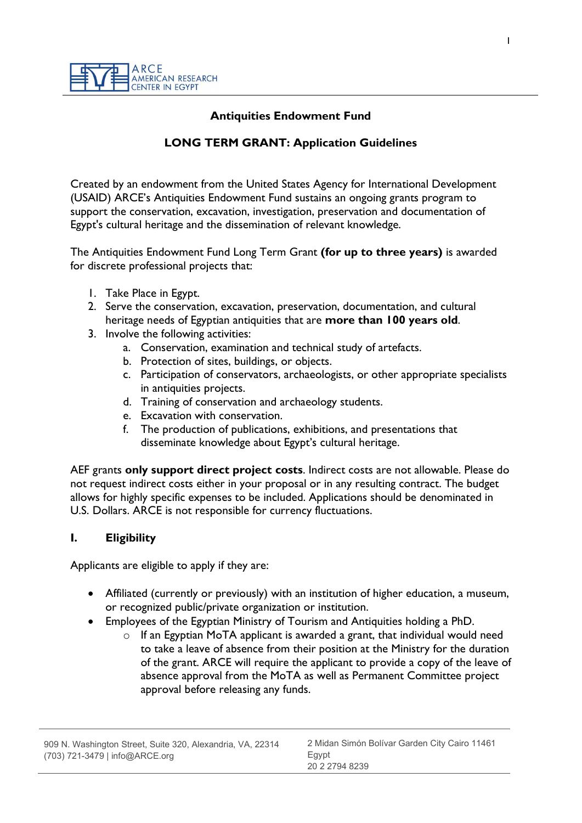## Antiquities Endowment Fund

## LONG TERM GRANT: Application Guidelines

Created by an endowment from the United States Agency for International Development (USAID) ARCE's Antiquities Endowment Fund sustains an ongoing grants program to support the conservation, excavation, investigation, preservation and documentation of Egypt's cultural heritage and the dissemination of relevant knowledge.

The Antiquities Endowment Fund Long Term Grant (for up to three years) is awarded for discrete professional projects that:

- 1. Take Place in Egypt.
- 2. Serve the conservation, excavation, preservation, documentation, and cultural heritage needs of Egyptian antiquities that are more than 100 years old.
- 3. Involve the following activities:
	- a. Conservation, examination and technical study of artefacts.
	- b. Protection of sites, buildings, or objects.
	- c. Participation of conservators, archaeologists, or other appropriate specialists in antiquities projects.
	- d. Training of conservation and archaeology students.
	- e. Excavation with conservation.
	- f. The production of publications, exhibitions, and presentations that disseminate knowledge about Egypt's cultural heritage.

AEF grants only support direct project costs. Indirect costs are not allowable. Please do not request indirect costs either in your proposal or in any resulting contract. The budget allows for highly specific expenses to be included. Applications should be denominated in U.S. Dollars. ARCE is not responsible for currency fluctuations.

## I. Eligibility

Applicants are eligible to apply if they are:

- Affiliated (currently or previously) with an institution of higher education, a museum, or recognized public/private organization or institution.
- Employees of the Egyptian Ministry of Tourism and Antiquities holding a PhD.
	- o If an Egyptian MoTA applicant is awarded a grant, that individual would need to take a leave of absence from their position at the Ministry for the duration of the grant. ARCE will require the applicant to provide a copy of the leave of absence approval from the MoTA as well as Permanent Committee project approval before releasing any funds.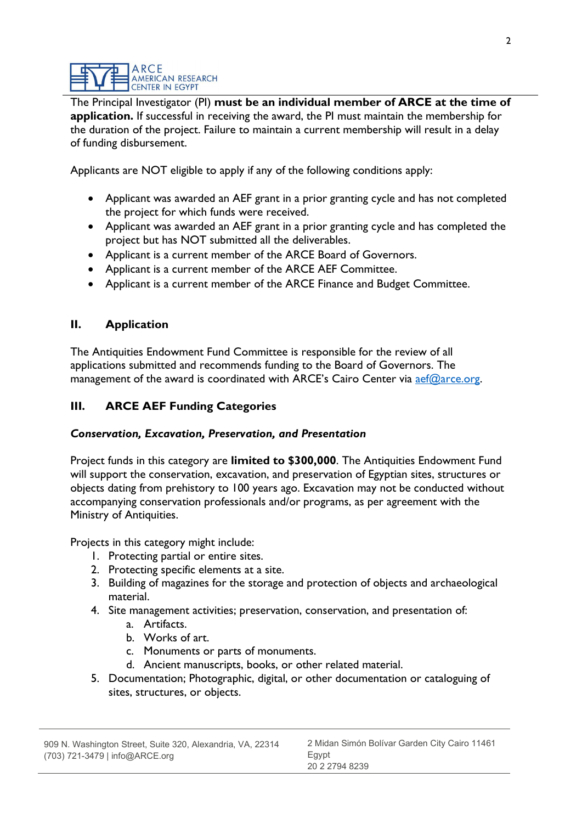The Principal Investigator (PI) must be an individual member of ARCE at the time of application. If successful in receiving the award, the PI must maintain the membership for the duration of the project. Failure to maintain a current membership will result in a delay of funding disbursement.

Applicants are NOT eligible to apply if any of the following conditions apply:

- Applicant was awarded an AEF grant in a prior granting cycle and has not completed the project for which funds were received.
- Applicant was awarded an AEF grant in a prior granting cycle and has completed the project but has NOT submitted all the deliverables.
- Applicant is a current member of the ARCE Board of Governors.
- Applicant is a current member of the ARCE AEF Committee.
- Applicant is a current member of the ARCE Finance and Budget Committee.

# II. Application

The Antiquities Endowment Fund Committee is responsible for the review of all applications submitted and recommends funding to the Board of Governors. The management of the award is coordinated with ARCE's Cairo Center via aef@arce.org.

# III. ARCE AEF Funding Categories

# Conservation, Excavation, Preservation, and Presentation

Project funds in this category are limited to \$300,000. The Antiquities Endowment Fund will support the conservation, excavation, and preservation of Egyptian sites, structures or objects dating from prehistory to 100 years ago. Excavation may not be conducted without accompanying conservation professionals and/or programs, as per agreement with the Ministry of Antiquities.

Projects in this category might include:

- 1. Protecting partial or entire sites.
- 2. Protecting specific elements at a site.
- 3. Building of magazines for the storage and protection of objects and archaeological material.
- 4. Site management activities; preservation, conservation, and presentation of:
	- a. Artifacts.
	- b. Works of art.
	- c. Monuments or parts of monuments.
	- d. Ancient manuscripts, books, or other related material.
- 5. Documentation; Photographic, digital, or other documentation or cataloguing of sites, structures, or objects.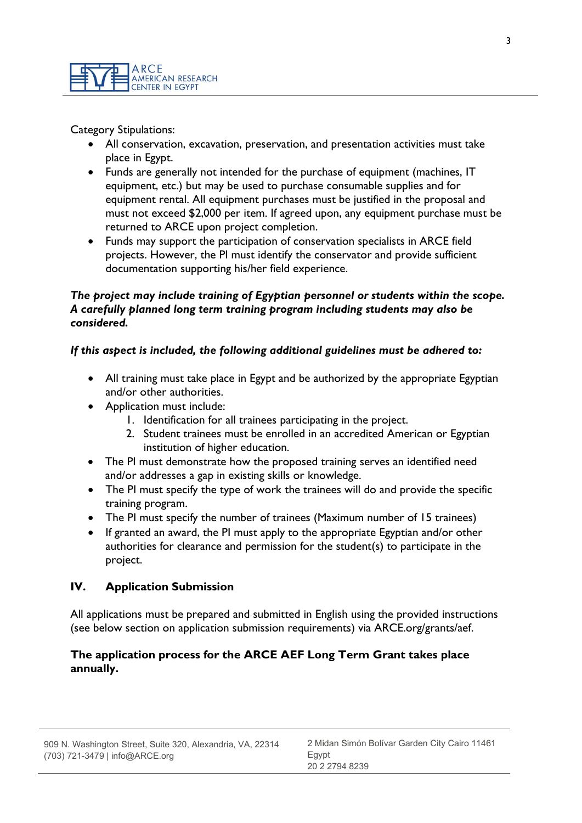

Category Stipulations:

- All conservation, excavation, preservation, and presentation activities must take place in Egypt.
- Funds are generally not intended for the purchase of equipment (machines, IT equipment, etc.) but may be used to purchase consumable supplies and for equipment rental. All equipment purchases must be justified in the proposal and must not exceed \$2,000 per item. If agreed upon, any equipment purchase must be returned to ARCE upon project completion.
- Funds may support the participation of conservation specialists in ARCE field projects. However, the PI must identify the conservator and provide sufficient documentation supporting his/her field experience.

### The project may include training of Egyptian personnel or students within the scope. A carefully planned long term training program including students may also be considered.

## If this aspect is included, the following additional guidelines must be adhered to:

- All training must take place in Egypt and be authorized by the appropriate Egyptian and/or other authorities.
- Application must include:
	- 1. Identification for all trainees participating in the project.
	- 2. Student trainees must be enrolled in an accredited American or Egyptian institution of higher education.
- The PI must demonstrate how the proposed training serves an identified need and/or addresses a gap in existing skills or knowledge.
- The PI must specify the type of work the trainees will do and provide the specific training program.
- The PI must specify the number of trainees (Maximum number of 15 trainees)
- If granted an award, the PI must apply to the appropriate Egyptian and/or other authorities for clearance and permission for the student(s) to participate in the project.

## IV. Application Submission

All applications must be prepared and submitted in English using the provided instructions (see below section on application submission requirements) via ARCE.org/grants/aef.

### The application process for the ARCE AEF Long Term Grant takes place annually.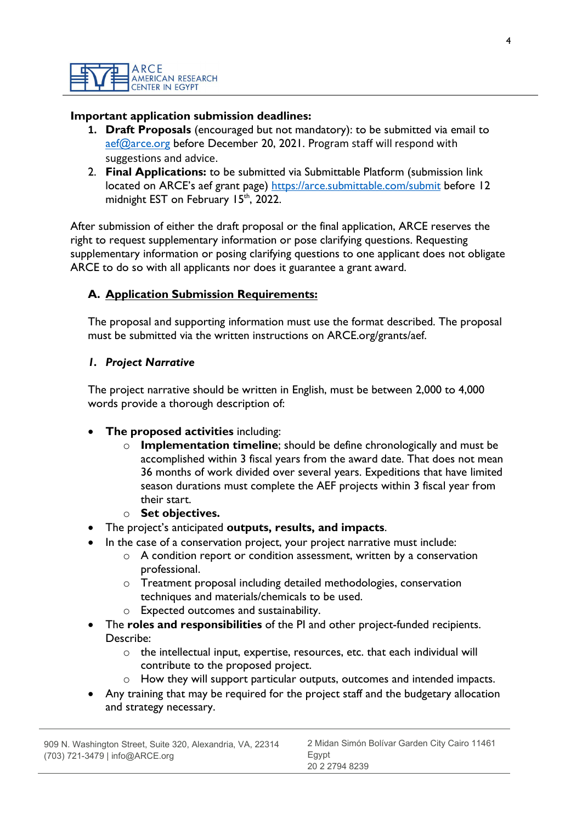### Important application submission deadlines:

- 1. Draft Proposals (encouraged but not mandatory): to be submitted via email to aef@arce.org before December 20, 2021. Program staff will respond with suggestions and advice.
- 2. Final Applications: to be submitted via Submittable Platform (submission link located on ARCE's aef grant page) https://arce.submittable.com/submit before 12 midnight EST on February 15<sup>th</sup>, 2022.

After submission of either the draft proposal or the final application, ARCE reserves the right to request supplementary information or pose clarifying questions. Requesting supplementary information or posing clarifying questions to one applicant does not obligate ARCE to do so with all applicants nor does it guarantee a grant award.

## A. Application Submission Requirements:

The proposal and supporting information must use the format described. The proposal must be submitted via the written instructions on ARCE.org/grants/aef.

### 1. Project Narrative

The project narrative should be written in English, must be between 2,000 to 4,000 words provide a thorough description of:

- The proposed activities including:
	- $\circ$  Implementation timeline; should be define chronologically and must be accomplished within 3 fiscal years from the award date. That does not mean 36 months of work divided over several years. Expeditions that have limited season durations must complete the AEF projects within 3 fiscal year from their start.
	- $\circ$  Set objectives.
- The project's anticipated outputs, results, and impacts.
- In the case of a conservation project, your project narrative must include:
	- o A condition report or condition assessment, written by a conservation professional.
	- o Treatment proposal including detailed methodologies, conservation techniques and materials/chemicals to be used.
	- o Expected outcomes and sustainability.
- The roles and responsibilities of the PI and other project-funded recipients. Describe:
	- o the intellectual input, expertise, resources, etc. that each individual will contribute to the proposed project.
	- How they will support particular outputs, outcomes and intended impacts.
- Any training that may be required for the project staff and the budgetary allocation and strategy necessary.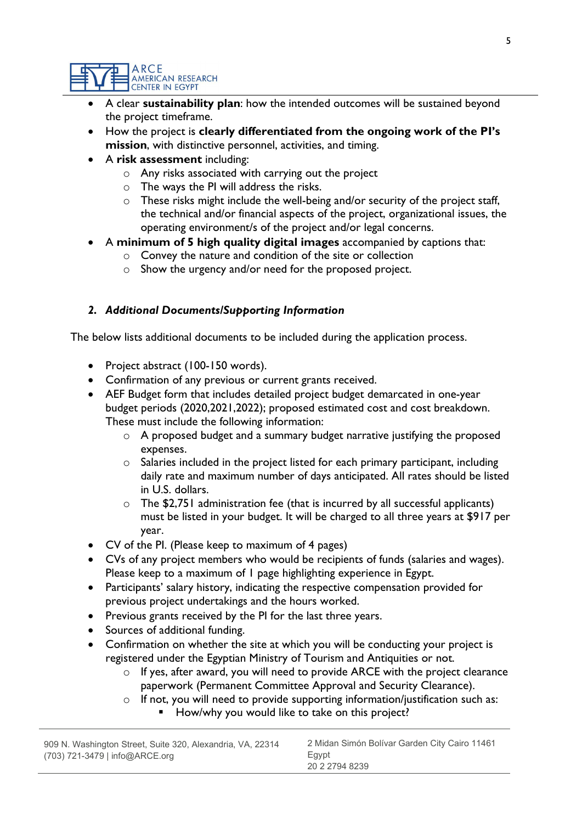#### **ARCE** AMERICAN RESEARCH **CENTER IN EGYPT**

- A clear sustainability plan: how the intended outcomes will be sustained beyond the project timeframe.
- How the project is clearly differentiated from the ongoing work of the PI's mission, with distinctive personnel, activities, and timing.
- A risk assessment including:
	- o Any risks associated with carrying out the project
	- o The ways the PI will address the risks.
	- o These risks might include the well-being and/or security of the project staff, the technical and/or financial aspects of the project, organizational issues, the operating environment/s of the project and/or legal concerns.
- A minimum of 5 high quality digital images accompanied by captions that:
	- o Convey the nature and condition of the site or collection
	- o Show the urgency and/or need for the proposed project.

## 2. Additional Documents/Supporting Information

The below lists additional documents to be included during the application process.

- Project abstract (100-150 words).
- Confirmation of any previous or current grants received.
- AEF Budget form that includes detailed project budget demarcated in one-year budget periods (2020,2021,2022); proposed estimated cost and cost breakdown. These must include the following information:
	- o A proposed budget and a summary budget narrative justifying the proposed expenses.
	- o Salaries included in the project listed for each primary participant, including daily rate and maximum number of days anticipated. All rates should be listed in U.S. dollars.
	- $\circ$  The \$2,751 administration fee (that is incurred by all successful applicants) must be listed in your budget. It will be charged to all three years at \$917 per year.
- CV of the PI. (Please keep to maximum of 4 pages)
- CVs of any project members who would be recipients of funds (salaries and wages). Please keep to a maximum of 1 page highlighting experience in Egypt.
- Participants' salary history, indicating the respective compensation provided for previous project undertakings and the hours worked.
- Previous grants received by the PI for the last three years.
- Sources of additional funding.
- Confirmation on whether the site at which you will be conducting your project is registered under the Egyptian Ministry of Tourism and Antiquities or not.
	- o If yes, after award, you will need to provide ARCE with the project clearance paperwork (Permanent Committee Approval and Security Clearance).
	- o If not, you will need to provide supporting information/justification such as:
		- How/why you would like to take on this project?

| 909 N. Washington Street, Suite 320, Alexandria, VA, 22314 | 2 Midan Simón Bolívar Garden City Cairo 11461 |
|------------------------------------------------------------|-----------------------------------------------|
| $(703)$ 721-3479   info@ARCE.org                           | Eqvpt<br>20 2 2794 8239                       |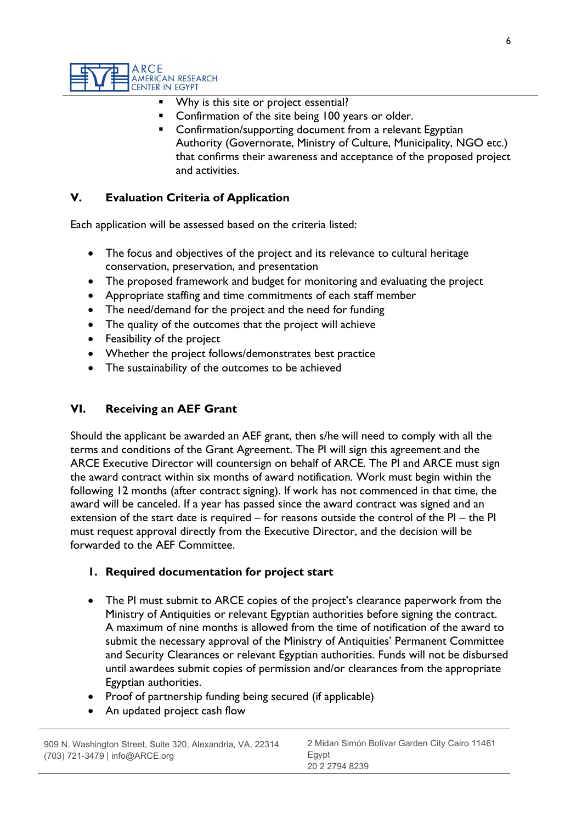

- Why is this site or project essential?
- Confirmation of the site being 100 years or older.
- Confirmation/supporting document from a relevant Egyptian Authority (Governorate, Ministry of Culture, Municipality, NGO etc.) that confirms their awareness and acceptance of the proposed project and activities.

## V. Evaluation Criteria of Application

Each application will be assessed based on the criteria listed:

- The focus and objectives of the project and its relevance to cultural heritage conservation, preservation, and presentation
- The proposed framework and budget for monitoring and evaluating the project
- Appropriate staffing and time commitments of each staff member
- The need/demand for the project and the need for funding
- The quality of the outcomes that the project will achieve
- Feasibility of the project
- Whether the project follows/demonstrates best practice
- The sustainability of the outcomes to be achieved

### VI. Receiving an AEF Grant

Should the applicant be awarded an AEF grant, then s/he will need to comply with all the terms and conditions of the Grant Agreement. The PI will sign this agreement and the ARCE Executive Director will countersign on behalf of ARCE. The PI and ARCE must sign the award contract within six months of award notification. Work must begin within the following 12 months (after contract signing). If work has not commenced in that time, the award will be canceled. If a year has passed since the award contract was signed and an extension of the start date is required – for reasons outside the control of the PI – the PI must request approval directly from the Executive Director, and the decision will be forwarded to the AEF Committee.

### 1. Required documentation for project start

- The PI must submit to ARCE copies of the project's clearance paperwork from the Ministry of Antiquities or relevant Egyptian authorities before signing the contract. A maximum of nine months is allowed from the time of notification of the award to submit the necessary approval of the Ministry of Antiquities' Permanent Committee and Security Clearances or relevant Egyptian authorities. Funds will not be disbursed until awardees submit copies of permission and/or clearances from the appropriate Egyptian authorities.
- Proof of partnership funding being secured (if applicable)
- An updated project cash flow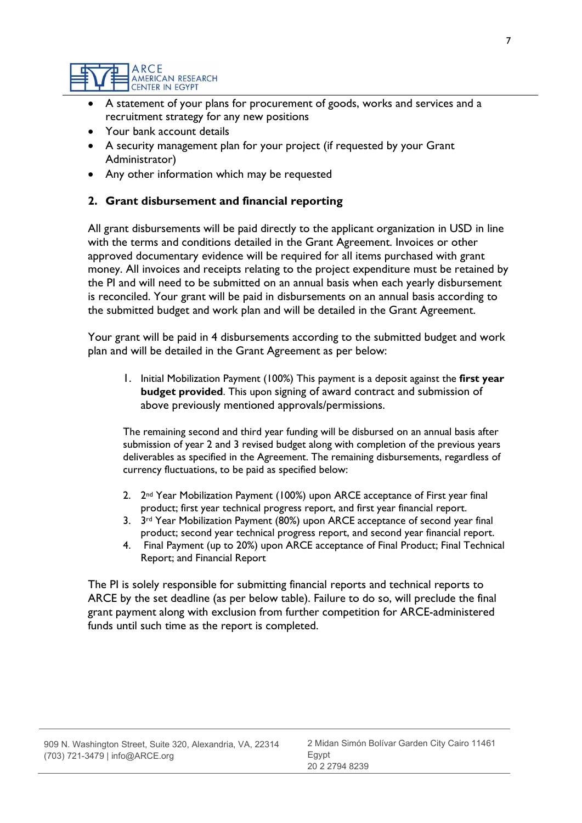

- A statement of your plans for procurement of goods, works and services and a recruitment strategy for any new positions
- Your bank account details
- A security management plan for your project (if requested by your Grant Administrator)
- Any other information which may be requested

### 2. Grant disbursement and financial reporting

All grant disbursements will be paid directly to the applicant organization in USD in line with the terms and conditions detailed in the Grant Agreement. Invoices or other approved documentary evidence will be required for all items purchased with grant money. All invoices and receipts relating to the project expenditure must be retained by the PI and will need to be submitted on an annual basis when each yearly disbursement is reconciled. Your grant will be paid in disbursements on an annual basis according to the submitted budget and work plan and will be detailed in the Grant Agreement.

Your grant will be paid in 4 disbursements according to the submitted budget and work plan and will be detailed in the Grant Agreement as per below:

1. Initial Mobilization Payment (100%) This payment is a deposit against the first year budget provided. This upon signing of award contract and submission of above previously mentioned approvals/permissions.

The remaining second and third year funding will be disbursed on an annual basis after submission of year 2 and 3 revised budget along with completion of the previous years deliverables as specified in the Agreement. The remaining disbursements, regardless of currency fluctuations, to be paid as specified below:

- 2. 2<sup>nd</sup> Year Mobilization Payment (100%) upon ARCE acceptance of First year final product; first year technical progress report, and first year financial report.
- 3. 3<sup>rd</sup> Year Mobilization Payment (80%) upon ARCE acceptance of second year final product; second year technical progress report, and second year financial report.
- 4. Final Payment (up to 20%) upon ARCE acceptance of Final Product; Final Technical Report; and Financial Report

The PI is solely responsible for submitting financial reports and technical reports to ARCE by the set deadline (as per below table). Failure to do so, will preclude the final grant payment along with exclusion from further competition for ARCE-administered funds until such time as the report is completed.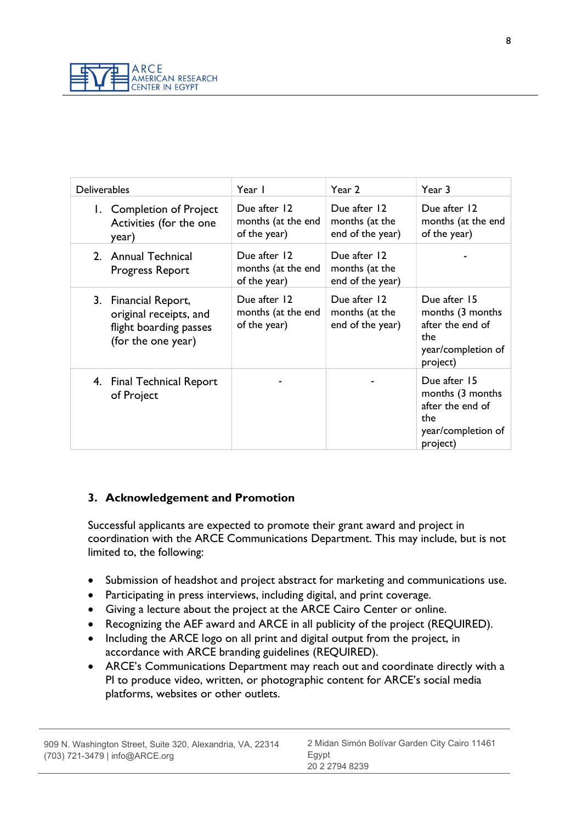

| <b>Deliverables</b>                                                                            | Year I                                             | Year 2                                             | Year 3                                                                                        |
|------------------------------------------------------------------------------------------------|----------------------------------------------------|----------------------------------------------------|-----------------------------------------------------------------------------------------------|
| 1. Completion of Project<br>Activities (for the one<br>year)                                   | Due after 12<br>months (at the end<br>of the year) | Due after 12<br>months (at the<br>end of the year) | Due after 12<br>months (at the end<br>of the year)                                            |
| 2. Annual Technical<br>Progress Report                                                         | Due after 12<br>months (at the end<br>of the year) | Due after 12<br>months (at the<br>end of the year) |                                                                                               |
| 3. Financial Report,<br>original receipts, and<br>flight boarding passes<br>(for the one year) | Due after 12<br>months (at the end<br>of the year) | Due after 12<br>months (at the<br>end of the year) | Due after 15<br>months (3 months<br>after the end of<br>the<br>year/completion of<br>project) |
| 4. Final Technical Report<br>of Project                                                        |                                                    |                                                    | Due after 15<br>months (3 months<br>after the end of<br>the<br>year/completion of<br>project) |

# 3. Acknowledgement and Promotion

Successful applicants are expected to promote their grant award and project in coordination with the ARCE Communications Department. This may include, but is not limited to, the following:

- Submission of headshot and project abstract for marketing and communications use.
- Participating in press interviews, including digital, and print coverage.
- Giving a lecture about the project at the ARCE Cairo Center or online.
- Recognizing the AEF award and ARCE in all publicity of the project (REQUIRED).
- Including the ARCE logo on all print and digital output from the project, in accordance with ARCE branding guidelines (REQUIRED).
- ARCE's Communications Department may reach out and coordinate directly with a PI to produce video, written, or photographic content for ARCE's social media platforms, websites or other outlets.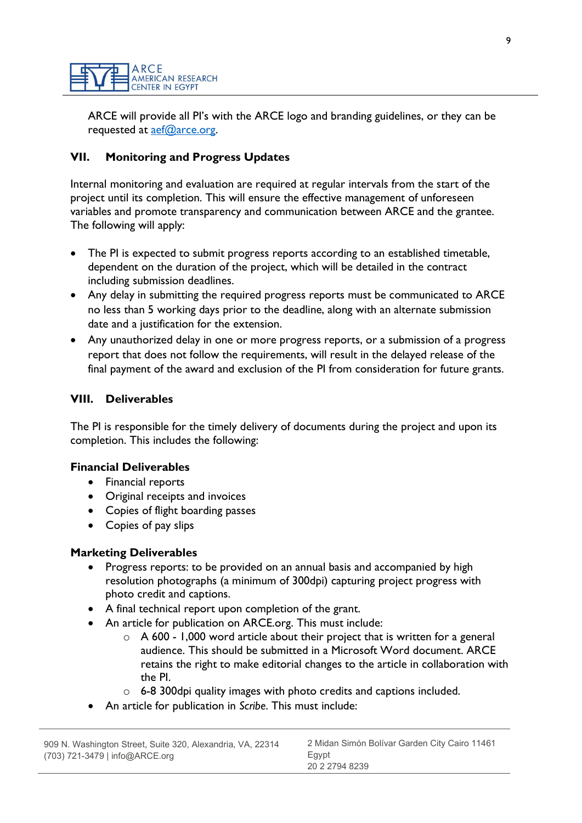ARCE will provide all PI's with the ARCE logo and branding guidelines, or they can be requested at aef@arce.org.

# VII. Monitoring and Progress Updates

Internal monitoring and evaluation are required at regular intervals from the start of the project until its completion. This will ensure the effective management of unforeseen variables and promote transparency and communication between ARCE and the grantee. The following will apply:

- The PI is expected to submit progress reports according to an established timetable, dependent on the duration of the project, which will be detailed in the contract including submission deadlines.
- Any delay in submitting the required progress reports must be communicated to ARCE no less than 5 working days prior to the deadline, along with an alternate submission date and a justification for the extension.
- Any unauthorized delay in one or more progress reports, or a submission of a progress report that does not follow the requirements, will result in the delayed release of the final payment of the award and exclusion of the PI from consideration for future grants.

# VIII. Deliverables

The PI is responsible for the timely delivery of documents during the project and upon its completion. This includes the following:

## Financial Deliverables

- Financial reports
- Original receipts and invoices
- Copies of flight boarding passes
- Copies of pay slips

## Marketing Deliverables

- Progress reports: to be provided on an annual basis and accompanied by high resolution photographs (a minimum of 300dpi) capturing project progress with photo credit and captions.
- A final technical report upon completion of the grant.
- An article for publication on ARCE.org. This must include:
	- $\circ$  A 600 1,000 word article about their project that is written for a general audience. This should be submitted in a Microsoft Word document. ARCE retains the right to make editorial changes to the article in collaboration with the PI.
	- $\circ$  6-8 300 dpi quality images with photo credits and captions included.
- An article for publication in Scribe. This must include: